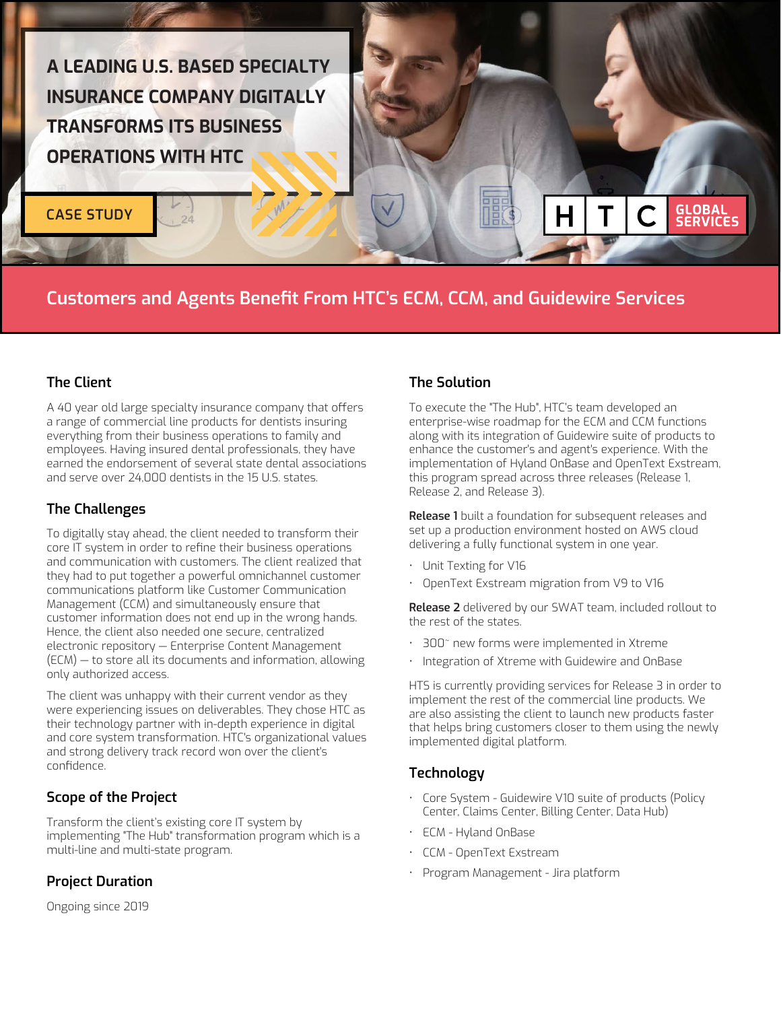

**CASE STUDY**

# Customers and Agents Benefit From HTC's ECM, CCM, and Guidewire Services

#### The Client

A 40 year old large specialty insurance company that offers a range of commercial line products for dentists insuring everything from their business operations to family and employees. Having insured dental professionals, they have earned the endorsement of several state dental associations and serve over 24,000 dentists in the 15 U.S. states.

### The Challenges

To digitally stay ahead, the client needed to transform their core IT system in order to refine their business operations and communication with customers. The client realized that they had to put together a powerful omnichannel customer communications platform like Customer Communication Management (CCM) and simultaneously ensure that customer information does not end up in the wrong hands. Hence, the client also needed one secure, centralized electronic repository — Enterprise Content Management (ECM) — to store all its documents and information, allowing only authorized access.

The client was unhappy with their current vendor as they were experiencing issues on deliverables. They chose HTC as their technology partner with in-depth experience in digital and core system transformation. HTC's organizational values and strong delivery track record won over the client's confidence.

### Scope of the Project

Transform the client's existing core IT system by implementing "The Hub" transformation program which is a multi-line and multi-state program.

### Project Duration

Ongoing since 2019

### The Solution

To execute the "The Hub", HTC's team developed an enterprise-wise roadmap for the ECM and CCM functions along with its integration of Guidewire suite of products to enhance the customer's and agent's experience. With the implementation of Hyland OnBase and OpenText Exstream, this program spread across three releases (Release 1, Release 2, and Release 3).

**GLOBAL<br>SERVICES** 

Release 1 built a foundation for subsequent releases and set up a production environment hosted on AWS cloud delivering a fully functional system in one year.

- Unit Texting for V16
- OpenText Exstream migration from V9 to V16

Release 2 delivered by our SWAT team, included rollout to the rest of the states.

- 300~ new forms were implemented in Xtreme
- Integration of Xtreme with Guidewire and OnBase

HTS is currently providing services for Release 3 in order to implement the rest of the commercial line products. We are also assisting the client to launch new products faster that helps bring customers closer to them using the newly implemented digital platform.

### **Technology**

- Core System Guidewire V10 suite of products (Policy Center, Claims Center, Billing Center, Data Hub)
- ECM Hyland OnBase
- CCM OpenText Exstream
- Program Management Jira platform